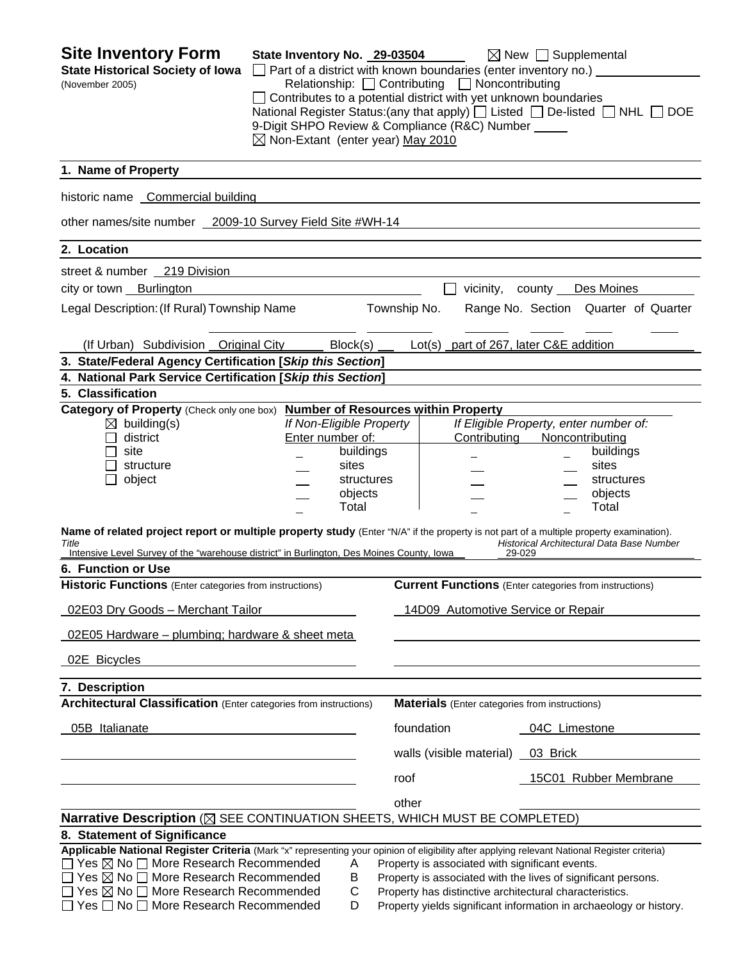| <b>Site Inventory Form</b><br><b>State Historical Society of Iowa</b><br>(November 2005)                                                                                                                                                                                                                                                                                                                                                                                                                                          | State Inventory No. 29-03504<br>$\boxtimes$ Non-Extant (enter year) May 2010                         | $\Box$ Part of a district with known boundaries (enter inventory no.) $\Box$<br>Relationship: $\Box$ Contributing $\Box$ Noncontributing<br>$\Box$ Contributes to a potential district with yet unknown boundaries<br>9-Digit SHPO Review & Compliance (R&C) Number | $\boxtimes$ New $\Box$ Supplemental<br>National Register Status: (any that apply) $\Box$ Listed $\Box$ De-listed $\Box$ NHL $\Box$ DOE                                                                                          |
|-----------------------------------------------------------------------------------------------------------------------------------------------------------------------------------------------------------------------------------------------------------------------------------------------------------------------------------------------------------------------------------------------------------------------------------------------------------------------------------------------------------------------------------|------------------------------------------------------------------------------------------------------|---------------------------------------------------------------------------------------------------------------------------------------------------------------------------------------------------------------------------------------------------------------------|---------------------------------------------------------------------------------------------------------------------------------------------------------------------------------------------------------------------------------|
| 1. Name of Property                                                                                                                                                                                                                                                                                                                                                                                                                                                                                                               |                                                                                                      |                                                                                                                                                                                                                                                                     |                                                                                                                                                                                                                                 |
| historic name Commercial building                                                                                                                                                                                                                                                                                                                                                                                                                                                                                                 |                                                                                                      |                                                                                                                                                                                                                                                                     |                                                                                                                                                                                                                                 |
| other names/site number 2009-10 Survey Field Site #WH-14                                                                                                                                                                                                                                                                                                                                                                                                                                                                          |                                                                                                      |                                                                                                                                                                                                                                                                     |                                                                                                                                                                                                                                 |
| 2. Location                                                                                                                                                                                                                                                                                                                                                                                                                                                                                                                       |                                                                                                      |                                                                                                                                                                                                                                                                     |                                                                                                                                                                                                                                 |
| street & number 219 Division                                                                                                                                                                                                                                                                                                                                                                                                                                                                                                      |                                                                                                      |                                                                                                                                                                                                                                                                     |                                                                                                                                                                                                                                 |
| city or town Burlington                                                                                                                                                                                                                                                                                                                                                                                                                                                                                                           |                                                                                                      |                                                                                                                                                                                                                                                                     | vicinity, county Des Moines                                                                                                                                                                                                     |
| Legal Description: (If Rural) Township Name                                                                                                                                                                                                                                                                                                                                                                                                                                                                                       |                                                                                                      | Township No.                                                                                                                                                                                                                                                        | Range No. Section Quarter of Quarter                                                                                                                                                                                            |
| (If Urban) Subdivision Original City                                                                                                                                                                                                                                                                                                                                                                                                                                                                                              | Block(s)                                                                                             | Lot(s) part of 267, later $C&E$ addition                                                                                                                                                                                                                            |                                                                                                                                                                                                                                 |
| 3. State/Federal Agency Certification [Skip this Section]                                                                                                                                                                                                                                                                                                                                                                                                                                                                         |                                                                                                      |                                                                                                                                                                                                                                                                     |                                                                                                                                                                                                                                 |
| 4. National Park Service Certification [Skip this Section]<br>5. Classification                                                                                                                                                                                                                                                                                                                                                                                                                                                   |                                                                                                      |                                                                                                                                                                                                                                                                     |                                                                                                                                                                                                                                 |
| Category of Property (Check only one box) Number of Resources within Property<br>$\boxtimes$ building(s)<br>district<br>site<br>structure<br>object<br>Name of related project report or multiple property study (Enter "N/A" if the property is not part of a multiple property examination).<br>Title<br>Intensive Level Survey of the "warehouse district" in Burlington, Des Moines County, Iowa<br>6. Function or Use<br><b>Historic Functions</b> (Enter categories from instructions)<br>02E03 Dry Goods - Merchant Tailor | If Non-Eligible Property<br>Enter number of:<br>buildings<br>sites<br>structures<br>objects<br>Total | Contributing<br>29-029<br>14D09 Automotive Service or Repair                                                                                                                                                                                                        | If Eligible Property, enter number of:<br>Noncontributing<br>buildings<br>sites<br>structures<br>objects<br>Total<br>Historical Architectural Data Base Number<br><b>Current Functions</b> (Enter categories from instructions) |
| 02E05 Hardware - plumbing; hardware & sheet meta                                                                                                                                                                                                                                                                                                                                                                                                                                                                                  |                                                                                                      |                                                                                                                                                                                                                                                                     |                                                                                                                                                                                                                                 |
| 02E Bicycles                                                                                                                                                                                                                                                                                                                                                                                                                                                                                                                      |                                                                                                      |                                                                                                                                                                                                                                                                     |                                                                                                                                                                                                                                 |
| 7. Description                                                                                                                                                                                                                                                                                                                                                                                                                                                                                                                    |                                                                                                      |                                                                                                                                                                                                                                                                     |                                                                                                                                                                                                                                 |
| <b>Architectural Classification</b> (Enter categories from instructions)                                                                                                                                                                                                                                                                                                                                                                                                                                                          |                                                                                                      | <b>Materials</b> (Enter categories from instructions)                                                                                                                                                                                                               |                                                                                                                                                                                                                                 |
| 05B Italianate                                                                                                                                                                                                                                                                                                                                                                                                                                                                                                                    |                                                                                                      | foundation                                                                                                                                                                                                                                                          | 04C Limestone                                                                                                                                                                                                                   |
|                                                                                                                                                                                                                                                                                                                                                                                                                                                                                                                                   |                                                                                                      | walls (visible material) _                                                                                                                                                                                                                                          | 03 Brick                                                                                                                                                                                                                        |
|                                                                                                                                                                                                                                                                                                                                                                                                                                                                                                                                   |                                                                                                      |                                                                                                                                                                                                                                                                     |                                                                                                                                                                                                                                 |
|                                                                                                                                                                                                                                                                                                                                                                                                                                                                                                                                   |                                                                                                      | roof                                                                                                                                                                                                                                                                | 15C01 Rubber Membrane                                                                                                                                                                                                           |
| Narrative Description (X SEE CONTINUATION SHEETS, WHICH MUST BE COMPLETED)                                                                                                                                                                                                                                                                                                                                                                                                                                                        |                                                                                                      | other                                                                                                                                                                                                                                                               |                                                                                                                                                                                                                                 |
| 8. Statement of Significance                                                                                                                                                                                                                                                                                                                                                                                                                                                                                                      |                                                                                                      |                                                                                                                                                                                                                                                                     |                                                                                                                                                                                                                                 |
| Applicable National Register Criteria (Mark "x" representing your opinion of eligibility after applying relevant National Register criteria)<br>$\Box$ Yes $\boxtimes$ No $\Box$ More Research Recommended<br>$\Box$ Yes $\boxtimes$ No $\Box$ More Research Recommended<br>$\Box$ Yes $\boxtimes$ No $\Box$ More Research Recommended<br>$\Box$ Yes $\Box$ No $\Box$ More Research Recommended                                                                                                                                   | A<br>B<br>С<br>D                                                                                     | Property is associated with significant events.<br>Property has distinctive architectural characteristics.                                                                                                                                                          | Property is associated with the lives of significant persons.<br>Property yields significant information in archaeology or history.                                                                                             |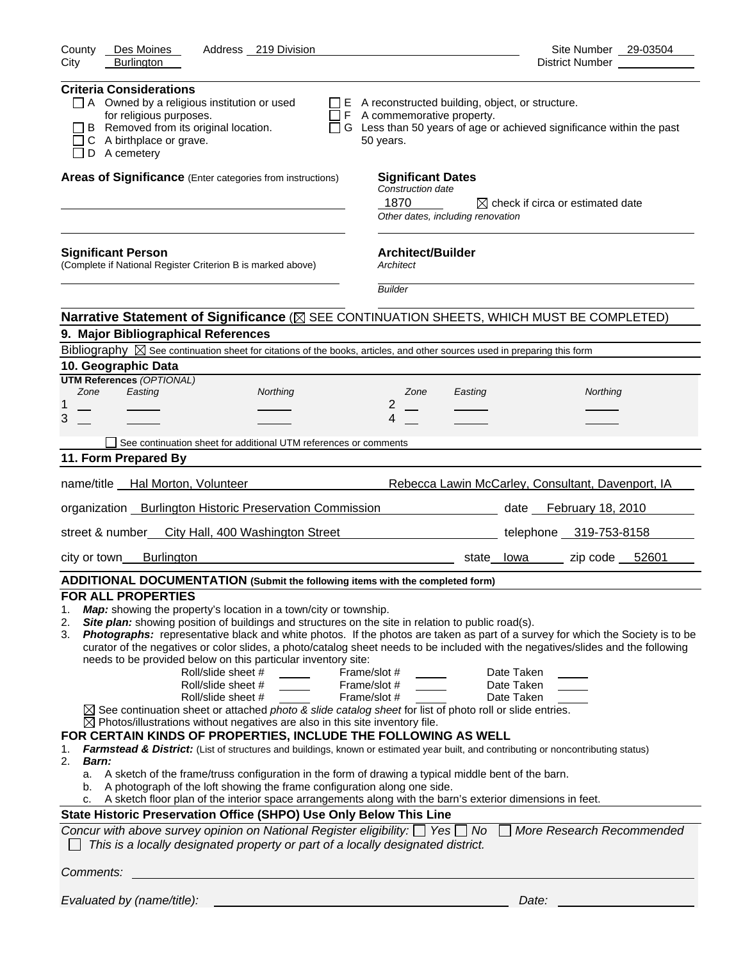| County<br>Des Moines<br>Address 219 Division                                                                                                                                                                                                                                                                                                                                                                                                                                                                                                                                                                                                                                                                                                                                                                                                                                                                                                                                                                                                                                                                                                                                                                      | Site Number 29-03504                                                                                                                                                                                                                                                                                         |
|-------------------------------------------------------------------------------------------------------------------------------------------------------------------------------------------------------------------------------------------------------------------------------------------------------------------------------------------------------------------------------------------------------------------------------------------------------------------------------------------------------------------------------------------------------------------------------------------------------------------------------------------------------------------------------------------------------------------------------------------------------------------------------------------------------------------------------------------------------------------------------------------------------------------------------------------------------------------------------------------------------------------------------------------------------------------------------------------------------------------------------------------------------------------------------------------------------------------|--------------------------------------------------------------------------------------------------------------------------------------------------------------------------------------------------------------------------------------------------------------------------------------------------------------|
| City<br><b>Burlington</b>                                                                                                                                                                                                                                                                                                                                                                                                                                                                                                                                                                                                                                                                                                                                                                                                                                                                                                                                                                                                                                                                                                                                                                                         | District Number __________                                                                                                                                                                                                                                                                                   |
| <b>Criteria Considerations</b><br>$\Box$ A Owned by a religious institution or used<br>for religious purposes.<br>B Removed from its original location.<br>C A birthplace or grave.<br>$\Box$ D A cemetery                                                                                                                                                                                                                                                                                                                                                                                                                                                                                                                                                                                                                                                                                                                                                                                                                                                                                                                                                                                                        | $\Box$ E A reconstructed building, object, or structure.<br>$\Box$ F A commemorative property.<br>□ G Less than 50 years of age or achieved significance within the past<br>50 years.                                                                                                                        |
| Areas of Significance (Enter categories from instructions)                                                                                                                                                                                                                                                                                                                                                                                                                                                                                                                                                                                                                                                                                                                                                                                                                                                                                                                                                                                                                                                                                                                                                        | <b>Significant Dates</b><br>Construction date<br>1870<br>$\boxtimes$ check if circa or estimated date                                                                                                                                                                                                        |
|                                                                                                                                                                                                                                                                                                                                                                                                                                                                                                                                                                                                                                                                                                                                                                                                                                                                                                                                                                                                                                                                                                                                                                                                                   | Other dates, including renovation                                                                                                                                                                                                                                                                            |
| <b>Significant Person</b><br>(Complete if National Register Criterion B is marked above)                                                                                                                                                                                                                                                                                                                                                                                                                                                                                                                                                                                                                                                                                                                                                                                                                                                                                                                                                                                                                                                                                                                          | <b>Architect/Builder</b><br>Architect                                                                                                                                                                                                                                                                        |
|                                                                                                                                                                                                                                                                                                                                                                                                                                                                                                                                                                                                                                                                                                                                                                                                                                                                                                                                                                                                                                                                                                                                                                                                                   | <b>Builder</b>                                                                                                                                                                                                                                                                                               |
| Narrative Statement of Significance (X SEE CONTINUATION SHEETS, WHICH MUST BE COMPLETED)                                                                                                                                                                                                                                                                                                                                                                                                                                                                                                                                                                                                                                                                                                                                                                                                                                                                                                                                                                                                                                                                                                                          |                                                                                                                                                                                                                                                                                                              |
| 9. Major Bibliographical References                                                                                                                                                                                                                                                                                                                                                                                                                                                                                                                                                                                                                                                                                                                                                                                                                                                                                                                                                                                                                                                                                                                                                                               |                                                                                                                                                                                                                                                                                                              |
| Bibliography $\boxtimes$ See continuation sheet for citations of the books, articles, and other sources used in preparing this form<br>10. Geographic Data                                                                                                                                                                                                                                                                                                                                                                                                                                                                                                                                                                                                                                                                                                                                                                                                                                                                                                                                                                                                                                                        |                                                                                                                                                                                                                                                                                                              |
| <b>UTM References (OPTIONAL)</b>                                                                                                                                                                                                                                                                                                                                                                                                                                                                                                                                                                                                                                                                                                                                                                                                                                                                                                                                                                                                                                                                                                                                                                                  |                                                                                                                                                                                                                                                                                                              |
| Easting<br>Zone<br>Northing                                                                                                                                                                                                                                                                                                                                                                                                                                                                                                                                                                                                                                                                                                                                                                                                                                                                                                                                                                                                                                                                                                                                                                                       | Zone<br>Northing<br>Easting<br>$\overline{2}$                                                                                                                                                                                                                                                                |
| 1<br>3                                                                                                                                                                                                                                                                                                                                                                                                                                                                                                                                                                                                                                                                                                                                                                                                                                                                                                                                                                                                                                                                                                                                                                                                            | 4                                                                                                                                                                                                                                                                                                            |
|                                                                                                                                                                                                                                                                                                                                                                                                                                                                                                                                                                                                                                                                                                                                                                                                                                                                                                                                                                                                                                                                                                                                                                                                                   |                                                                                                                                                                                                                                                                                                              |
| See continuation sheet for additional UTM references or comments                                                                                                                                                                                                                                                                                                                                                                                                                                                                                                                                                                                                                                                                                                                                                                                                                                                                                                                                                                                                                                                                                                                                                  |                                                                                                                                                                                                                                                                                                              |
| 11. Form Prepared By                                                                                                                                                                                                                                                                                                                                                                                                                                                                                                                                                                                                                                                                                                                                                                                                                                                                                                                                                                                                                                                                                                                                                                                              |                                                                                                                                                                                                                                                                                                              |
| name/title Hal Morton, Volunteer                                                                                                                                                                                                                                                                                                                                                                                                                                                                                                                                                                                                                                                                                                                                                                                                                                                                                                                                                                                                                                                                                                                                                                                  | Rebecca Lawin McCarley, Consultant, Davenport, IA                                                                                                                                                                                                                                                            |
| organization Burlington Historic Preservation Commission                                                                                                                                                                                                                                                                                                                                                                                                                                                                                                                                                                                                                                                                                                                                                                                                                                                                                                                                                                                                                                                                                                                                                          | date February 18, 2010                                                                                                                                                                                                                                                                                       |
| street & number_ City Hall, 400 Washington Street                                                                                                                                                                                                                                                                                                                                                                                                                                                                                                                                                                                                                                                                                                                                                                                                                                                                                                                                                                                                                                                                                                                                                                 | telephone 319-753-8158                                                                                                                                                                                                                                                                                       |
| <b>Burlington</b><br>city or town___                                                                                                                                                                                                                                                                                                                                                                                                                                                                                                                                                                                                                                                                                                                                                                                                                                                                                                                                                                                                                                                                                                                                                                              | state lowa zip code 52601                                                                                                                                                                                                                                                                                    |
| ADDITIONAL DOCUMENTATION (Submit the following items with the completed form)                                                                                                                                                                                                                                                                                                                                                                                                                                                                                                                                                                                                                                                                                                                                                                                                                                                                                                                                                                                                                                                                                                                                     |                                                                                                                                                                                                                                                                                                              |
| <b>FOR ALL PROPERTIES</b>                                                                                                                                                                                                                                                                                                                                                                                                                                                                                                                                                                                                                                                                                                                                                                                                                                                                                                                                                                                                                                                                                                                                                                                         |                                                                                                                                                                                                                                                                                                              |
| Map: showing the property's location in a town/city or township.<br>1.<br>Site plan: showing position of buildings and structures on the site in relation to public road(s).<br>2.<br>3.<br>needs to be provided below on this particular inventory site:<br>Roll/slide sheet #<br>Frame/slot #<br>Roll/slide sheet #<br>Frame/slot #<br>Frame/slot #<br>Roll/slide sheet #<br>$\boxtimes$ See continuation sheet or attached photo & slide catalog sheet for list of photo roll or slide entries.<br>$\boxtimes$ Photos/illustrations without negatives are also in this site inventory file.<br>FOR CERTAIN KINDS OF PROPERTIES, INCLUDE THE FOLLOWING AS WELL<br>Farmstead & District: (List of structures and buildings, known or estimated year built, and contributing or noncontributing status)<br>1.<br>2.<br>Barn:<br>a. A sketch of the frame/truss configuration in the form of drawing a typical middle bent of the barn.<br>A photograph of the loft showing the frame configuration along one side.<br>b.<br>A sketch floor plan of the interior space arrangements along with the barn's exterior dimensions in feet.<br>c.<br>State Historic Preservation Office (SHPO) Use Only Below This Line | Photographs: representative black and white photos. If the photos are taken as part of a survey for which the Society is to be<br>curator of the negatives or color slides, a photo/catalog sheet needs to be included with the negatives/slides and the following<br>Date Taken<br>Date Taken<br>Date Taken |
| Concur with above survey opinion on National Register eligibility: $\Box$ Yes $\Box$ No $\Box$                                                                                                                                                                                                                                                                                                                                                                                                                                                                                                                                                                                                                                                                                                                                                                                                                                                                                                                                                                                                                                                                                                                    | More Research Recommended                                                                                                                                                                                                                                                                                    |
| This is a locally designated property or part of a locally designated district.                                                                                                                                                                                                                                                                                                                                                                                                                                                                                                                                                                                                                                                                                                                                                                                                                                                                                                                                                                                                                                                                                                                                   |                                                                                                                                                                                                                                                                                                              |
| Comments:                                                                                                                                                                                                                                                                                                                                                                                                                                                                                                                                                                                                                                                                                                                                                                                                                                                                                                                                                                                                                                                                                                                                                                                                         |                                                                                                                                                                                                                                                                                                              |
| Evaluated by (name/title):                                                                                                                                                                                                                                                                                                                                                                                                                                                                                                                                                                                                                                                                                                                                                                                                                                                                                                                                                                                                                                                                                                                                                                                        | Date:                                                                                                                                                                                                                                                                                                        |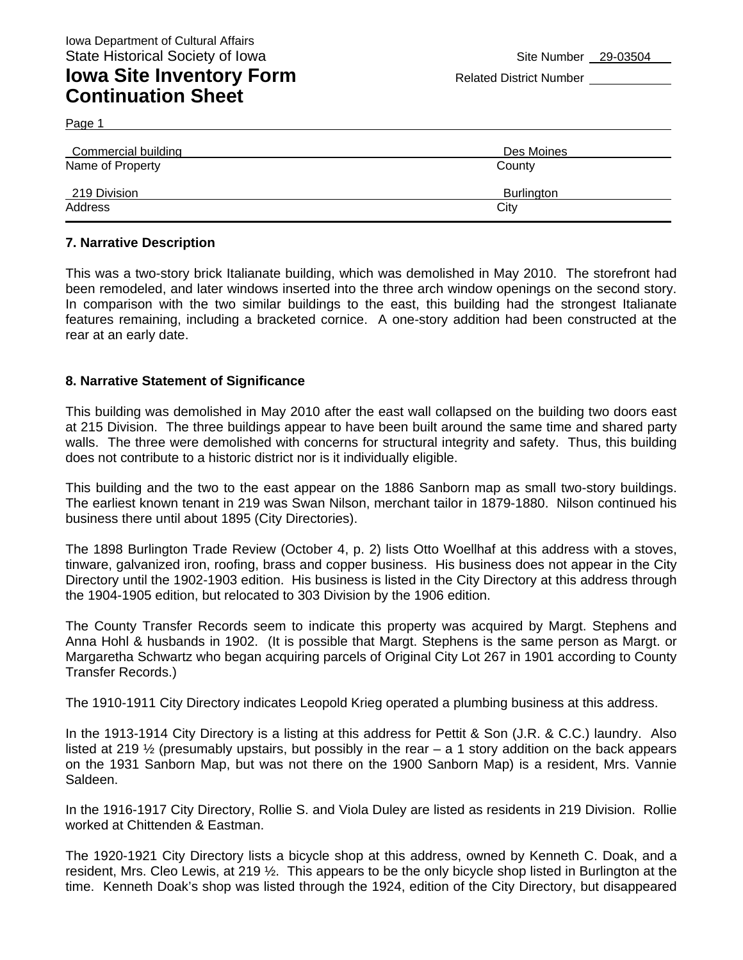# **Iowa Site Inventory Form** Related District Number **Related District Number Continuation Sheet**

Page 1

| Commercial building | Des Moines        |  |
|---------------------|-------------------|--|
| Name of Property    | County            |  |
| 219 Division        | <b>Burlington</b> |  |
| Address             | City              |  |

#### **7. Narrative Description**

This was a two-story brick Italianate building, which was demolished in May 2010. The storefront had been remodeled, and later windows inserted into the three arch window openings on the second story. In comparison with the two similar buildings to the east, this building had the strongest Italianate features remaining, including a bracketed cornice. A one-story addition had been constructed at the rear at an early date.

#### **8. Narrative Statement of Significance**

This building was demolished in May 2010 after the east wall collapsed on the building two doors east at 215 Division. The three buildings appear to have been built around the same time and shared party walls. The three were demolished with concerns for structural integrity and safety. Thus, this building does not contribute to a historic district nor is it individually eligible.

This building and the two to the east appear on the 1886 Sanborn map as small two-story buildings. The earliest known tenant in 219 was Swan Nilson, merchant tailor in 1879-1880. Nilson continued his business there until about 1895 (City Directories).

The 1898 Burlington Trade Review (October 4, p. 2) lists Otto Woellhaf at this address with a stoves, tinware, galvanized iron, roofing, brass and copper business. His business does not appear in the City Directory until the 1902-1903 edition. His business is listed in the City Directory at this address through the 1904-1905 edition, but relocated to 303 Division by the 1906 edition.

The County Transfer Records seem to indicate this property was acquired by Margt. Stephens and Anna Hohl & husbands in 1902. (It is possible that Margt. Stephens is the same person as Margt. or Margaretha Schwartz who began acquiring parcels of Original City Lot 267 in 1901 according to County Transfer Records.)

The 1910-1911 City Directory indicates Leopold Krieg operated a plumbing business at this address.

In the 1913-1914 City Directory is a listing at this address for Pettit & Son (J.R. & C.C.) laundry. Also listed at 219  $\frac{1}{2}$  (presumably upstairs, but possibly in the rear – a 1 story addition on the back appears on the 1931 Sanborn Map, but was not there on the 1900 Sanborn Map) is a resident, Mrs. Vannie Saldeen.

In the 1916-1917 City Directory, Rollie S. and Viola Duley are listed as residents in 219 Division. Rollie worked at Chittenden & Eastman.

The 1920-1921 City Directory lists a bicycle shop at this address, owned by Kenneth C. Doak, and a resident, Mrs. Cleo Lewis, at 219 ½. This appears to be the only bicycle shop listed in Burlington at the time. Kenneth Doak's shop was listed through the 1924, edition of the City Directory, but disappeared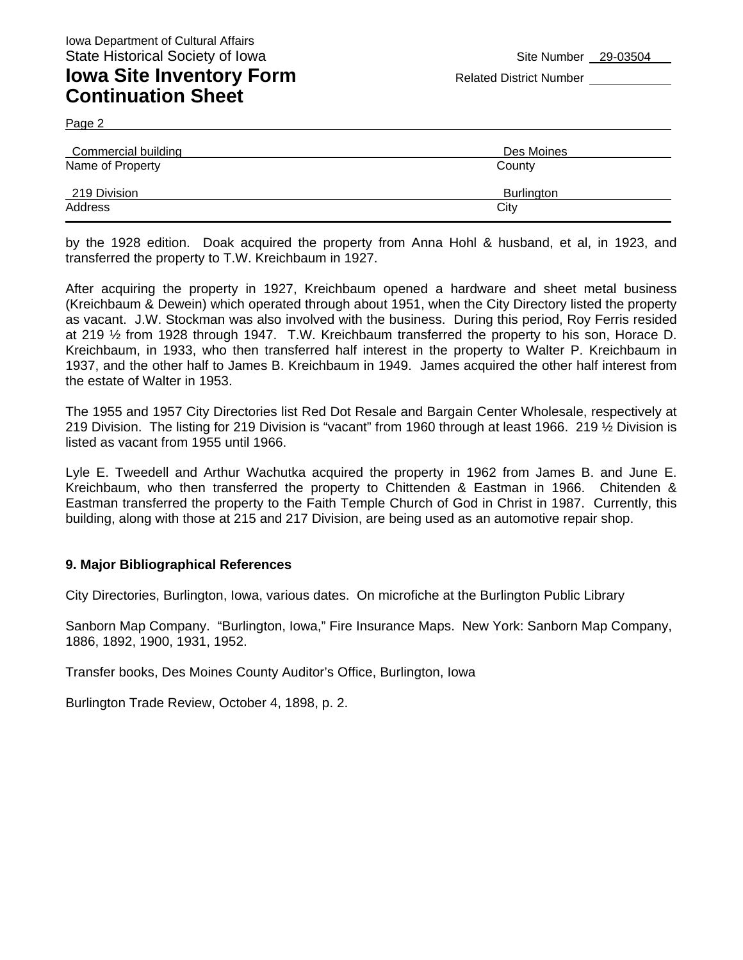### **Iowa Site Inventory Form** Related District Number **Related District Number Continuation Sheet**

Page 2

| Commercial building | Des Moines        |
|---------------------|-------------------|
| Name of Property    | County            |
| 219 Division        | <b>Burlington</b> |
| Address             | City              |

by the 1928 edition. Doak acquired the property from Anna Hohl & husband, et al, in 1923, and transferred the property to T.W. Kreichbaum in 1927.

After acquiring the property in 1927, Kreichbaum opened a hardware and sheet metal business (Kreichbaum & Dewein) which operated through about 1951, when the City Directory listed the property as vacant. J.W. Stockman was also involved with the business. During this period, Roy Ferris resided at 219 ½ from 1928 through 1947. T.W. Kreichbaum transferred the property to his son, Horace D. Kreichbaum, in 1933, who then transferred half interest in the property to Walter P. Kreichbaum in 1937, and the other half to James B. Kreichbaum in 1949. James acquired the other half interest from the estate of Walter in 1953.

The 1955 and 1957 City Directories list Red Dot Resale and Bargain Center Wholesale, respectively at 219 Division. The listing for 219 Division is "vacant" from 1960 through at least 1966. 219 ½ Division is listed as vacant from 1955 until 1966.

Lyle E. Tweedell and Arthur Wachutka acquired the property in 1962 from James B. and June E. Kreichbaum, who then transferred the property to Chittenden & Eastman in 1966. Chitenden & Eastman transferred the property to the Faith Temple Church of God in Christ in 1987. Currently, this building, along with those at 215 and 217 Division, are being used as an automotive repair shop.

#### **9. Major Bibliographical References**

City Directories, Burlington, Iowa, various dates. On microfiche at the Burlington Public Library

Sanborn Map Company. "Burlington, Iowa," Fire Insurance Maps. New York: Sanborn Map Company, 1886, 1892, 1900, 1931, 1952.

Transfer books, Des Moines County Auditor's Office, Burlington, Iowa

Burlington Trade Review, October 4, 1898, p. 2.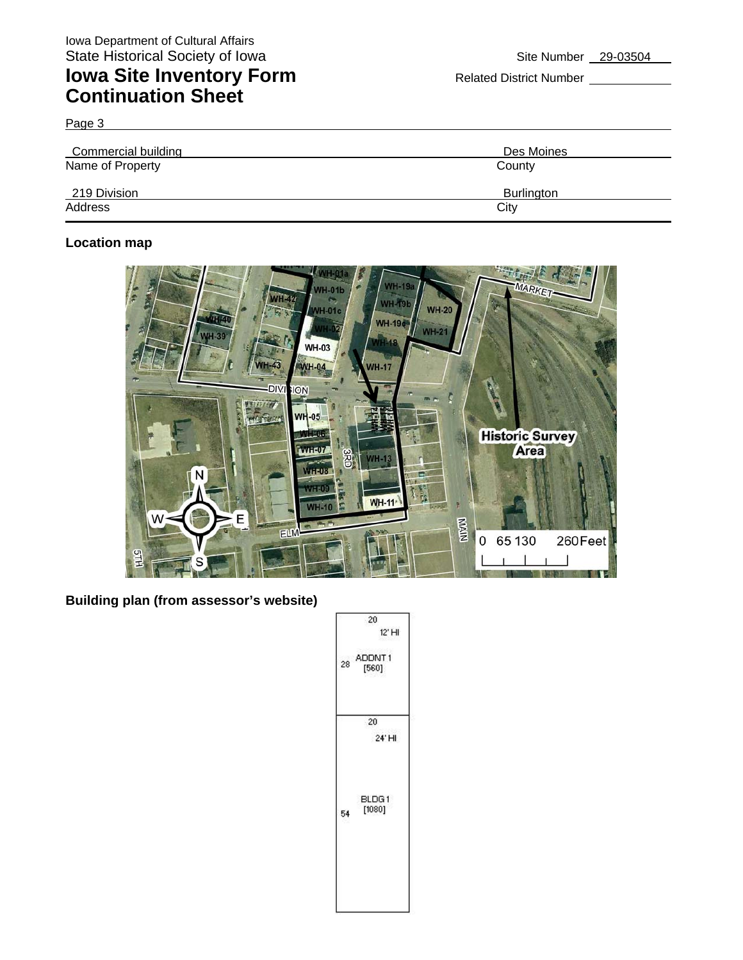## **Iowa Site Inventory Form** Related District Number **Continuation Sheet**

Page 3

| Commercial building | Des Moines        |
|---------------------|-------------------|
| Name of Property    | County            |
| 219 Division        | <b>Burlington</b> |
| Address             | City              |

### **Location map**



**Building plan (from assessor's website)** 

|    | 20<br>12' HI    |
|----|-----------------|
| 28 | ADDNT1<br>[560] |
|    | 20<br>$24'$ HI  |
| 54 | BLDG1<br>[1080] |
|    |                 |
|    |                 |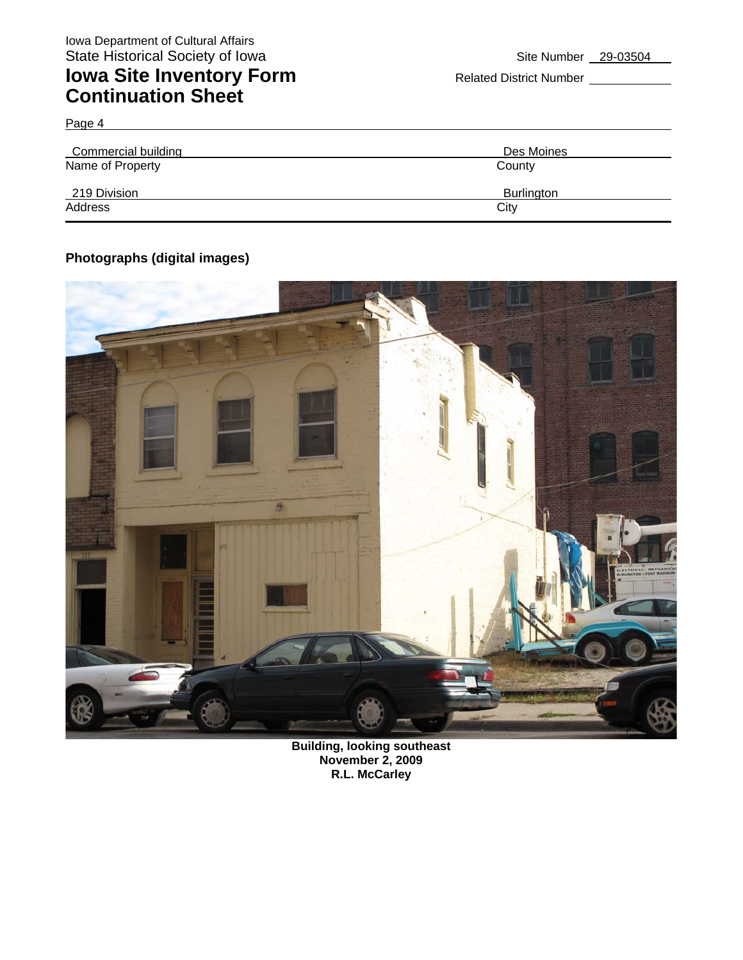## **Iowa Site Inventory Form** Related District Number **Continuation Sheet**

| Page 4              |            |
|---------------------|------------|
| Commercial building | Des Moines |
| Name of Property    | County     |
| 219 Division        | Burlington |
| Address             | City       |

#### **Photographs (digital images)**



**Building, looking southeast November 2, 2009 R.L. McCarley**